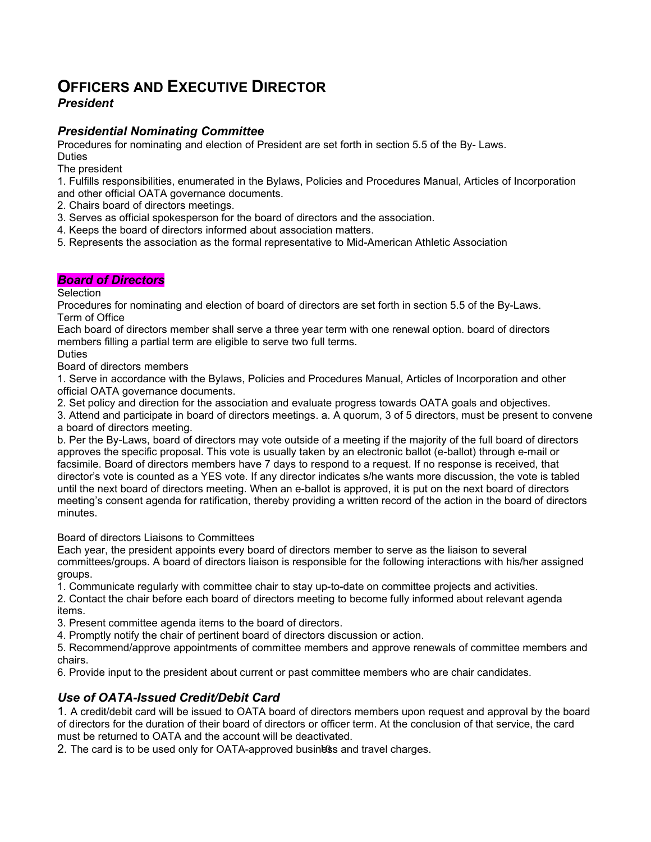# **OFFICERS AND EXECUTIVE DIRECTOR**

## *President*

## *Presidential Nominating Committee*

Procedures for nominating and election of President are set forth in section 5.5 of the By- Laws.

**Duties** 

The president

1. Fulfills responsibilities, enumerated in the Bylaws, Policies and Procedures Manual, Articles of Incorporation and other official OATA governance documents.

2. Chairs board of directors meetings.

- 3. Serves as official spokesperson for the board of directors and the association.
- 4. Keeps the board of directors informed about association matters.
- 5. Represents the association as the formal representative to Mid-American Athletic Association

## *Board of Directors*

## **Selection**

Procedures for nominating and election of board of directors are set forth in section 5.5 of the By-Laws. Term of Office

Each board of directors member shall serve a three year term with one renewal option. board of directors members filling a partial term are eligible to serve two full terms.

Duties

Board of directors members

1. Serve in accordance with the Bylaws, Policies and Procedures Manual, Articles of Incorporation and other official OATA governance documents.

2. Set policy and direction for the association and evaluate progress towards OATA goals and objectives.

3. Attend and participate in board of directors meetings. a. A quorum, 3 of 5 directors, must be present to convene a board of directors meeting.

b. Per the By-Laws, board of directors may vote outside of a meeting if the majority of the full board of directors approves the specific proposal. This vote is usually taken by an electronic ballot (e-ballot) through e-mail or facsimile. Board of directors members have 7 days to respond to a request. If no response is received, that director's vote is counted as a YES vote. If any director indicates s/he wants more discussion, the vote is tabled until the next board of directors meeting. When an e-ballot is approved, it is put on the next board of directors meeting's consent agenda for ratification, thereby providing a written record of the action in the board of directors minutes.

Board of directors Liaisons to Committees

Each year, the president appoints every board of directors member to serve as the liaison to several committees/groups. A board of directors liaison is responsible for the following interactions with his/her assigned groups.

1. Communicate regularly with committee chair to stay up-to-date on committee projects and activities.

2. Contact the chair before each board of directors meeting to become fully informed about relevant agenda items.

3. Present committee agenda items to the board of directors.

4. Promptly notify the chair of pertinent board of directors discussion or action.

5. Recommend/approve appointments of committee members and approve renewals of committee members and chairs.

6. Provide input to the president about current or past committee members who are chair candidates.

## *Use of OATA-Issued Credit/Debit Card*

1. A credit/debit card will be issued to OATA board of directors members upon request and approval by the board of directors for the duration of their board of directors or officer term. At the conclusion of that service, the card must be returned to OATA and the account will be deactivated.

2. The card is to be used only for OATA-approved business and travel charges.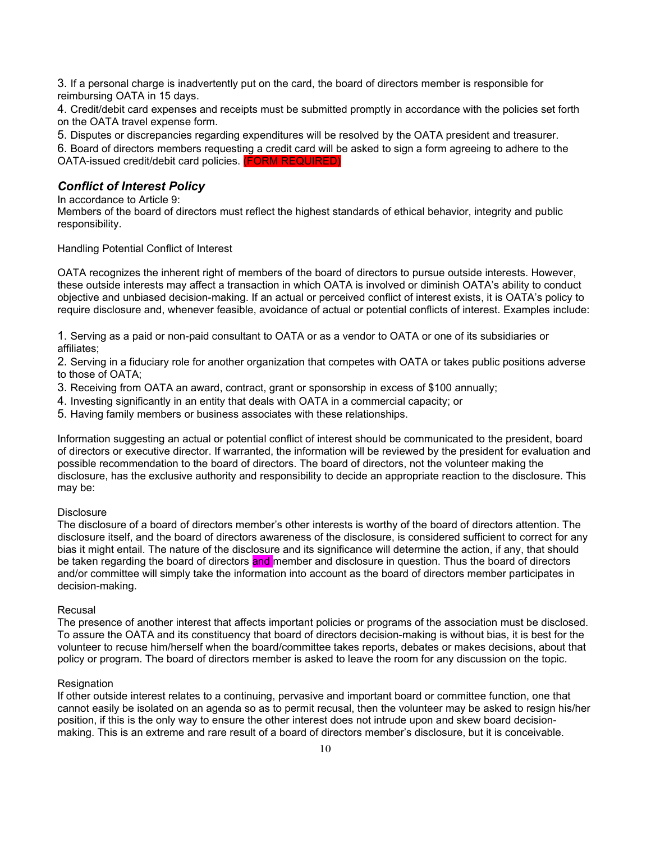3. If a personal charge is inadvertently put on the card, the board of directors member is responsible for reimbursing OATA in 15 days.

4. Credit/debit card expenses and receipts must be submitted promptly in accordance with the policies set forth on the OATA travel expense form.

5. Disputes or discrepancies regarding expenditures will be resolved by the OATA president and treasurer.

6. Board of directors members requesting a credit card will be asked to sign a form agreeing to adhere to the OATA-issued credit/debit card policies. (FORM REQUIRED)

### *Conflict of Interest Policy*

In accordance to Article 9:

Members of the board of directors must reflect the highest standards of ethical behavior, integrity and public responsibility.

Handling Potential Conflict of Interest

OATA recognizes the inherent right of members of the board of directors to pursue outside interests. However, these outside interests may affect a transaction in which OATA is involved or diminish OATA's ability to conduct objective and unbiased decision-making. If an actual or perceived conflict of interest exists, it is OATA's policy to require disclosure and, whenever feasible, avoidance of actual or potential conflicts of interest. Examples include:

1. Serving as a paid or non-paid consultant to OATA or as a vendor to OATA or one of its subsidiaries or affiliates;

2. Serving in a fiduciary role for another organization that competes with OATA or takes public positions adverse to those of OATA;

3. Receiving from OATA an award, contract, grant or sponsorship in excess of \$100 annually;

- 4. Investing significantly in an entity that deals with OATA in a commercial capacity; or
- 5. Having family members or business associates with these relationships.

Information suggesting an actual or potential conflict of interest should be communicated to the president, board of directors or executive director. If warranted, the information will be reviewed by the president for evaluation and possible recommendation to the board of directors. The board of directors, not the volunteer making the disclosure, has the exclusive authority and responsibility to decide an appropriate reaction to the disclosure. This may be:

#### **Disclosure**

The disclosure of a board of directors member's other interests is worthy of the board of directors attention. The disclosure itself, and the board of directors awareness of the disclosure, is considered sufficient to correct for any bias it might entail. The nature of the disclosure and its significance will determine the action, if any, that should be taken regarding the board of directors and member and disclosure in question. Thus the board of directors and/or committee will simply take the information into account as the board of directors member participates in decision-making.

#### Recusal

The presence of another interest that affects important policies or programs of the association must be disclosed. To assure the OATA and its constituency that board of directors decision-making is without bias, it is best for the volunteer to recuse him/herself when the board/committee takes reports, debates or makes decisions, about that policy or program. The board of directors member is asked to leave the room for any discussion on the topic.

#### **Resignation**

If other outside interest relates to a continuing, pervasive and important board or committee function, one that cannot easily be isolated on an agenda so as to permit recusal, then the volunteer may be asked to resign his/her position, if this is the only way to ensure the other interest does not intrude upon and skew board decisionmaking. This is an extreme and rare result of a board of directors member's disclosure, but it is conceivable.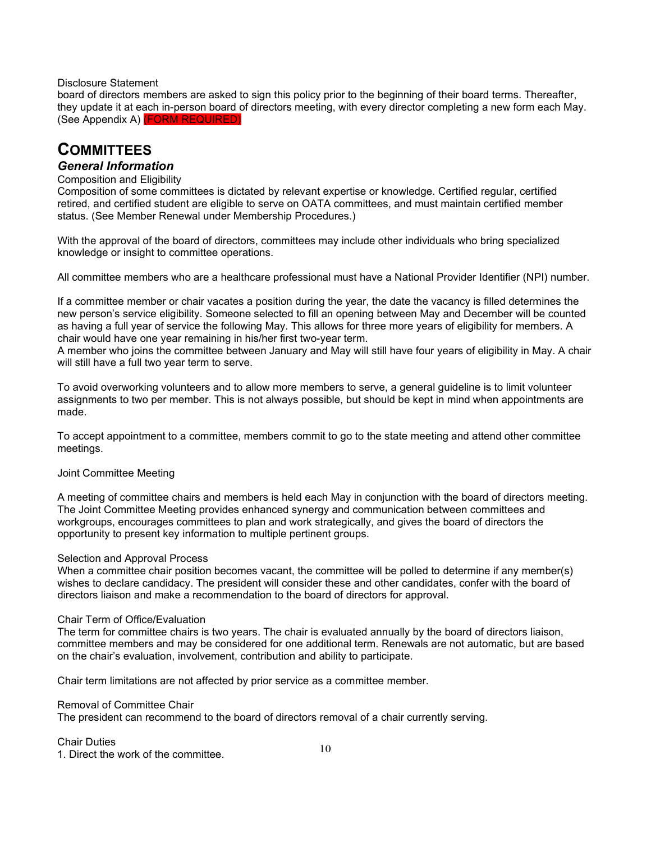### Disclosure Statement

board of directors members are asked to sign this policy prior to the beginning of their board terms. Thereafter, they update it at each in-person board of directors meeting, with every director completing a new form each May. (See Appendix A) (FORM REQUIRED)

# **COMMITTEES**

## *General Information*

### Composition and Eligibility

Composition of some committees is dictated by relevant expertise or knowledge. Certified regular, certified retired, and certified student are eligible to serve on OATA committees, and must maintain certified member status. (See Member Renewal under Membership Procedures.)

With the approval of the board of directors, committees may include other individuals who bring specialized knowledge or insight to committee operations.

All committee members who are a healthcare professional must have a National Provider Identifier (NPI) number.

If a committee member or chair vacates a position during the year, the date the vacancy is filled determines the new person's service eligibility. Someone selected to fill an opening between May and December will be counted as having a full year of service the following May. This allows for three more years of eligibility for members. A chair would have one year remaining in his/her first two-year term.

A member who joins the committee between January and May will still have four years of eligibility in May. A chair will still have a full two year term to serve.

To avoid overworking volunteers and to allow more members to serve, a general guideline is to limit volunteer assignments to two per member. This is not always possible, but should be kept in mind when appointments are made.

To accept appointment to a committee, members commit to go to the state meeting and attend other committee meetings.

#### Joint Committee Meeting

A meeting of committee chairs and members is held each May in conjunction with the board of directors meeting. The Joint Committee Meeting provides enhanced synergy and communication between committees and workgroups, encourages committees to plan and work strategically, and gives the board of directors the opportunity to present key information to multiple pertinent groups.

#### Selection and Approval Process

When a committee chair position becomes vacant, the committee will be polled to determine if any member(s) wishes to declare candidacy. The president will consider these and other candidates, confer with the board of directors liaison and make a recommendation to the board of directors for approval.

#### Chair Term of Office/Evaluation

The term for committee chairs is two years. The chair is evaluated annually by the board of directors liaison, committee members and may be considered for one additional term. Renewals are not automatic, but are based on the chair's evaluation, involvement, contribution and ability to participate.

Chair term limitations are not affected by prior service as a committee member.

### Removal of Committee Chair

The president can recommend to the board of directors removal of a chair currently serving.

## Chair Duties

1. Direct the work of the committee.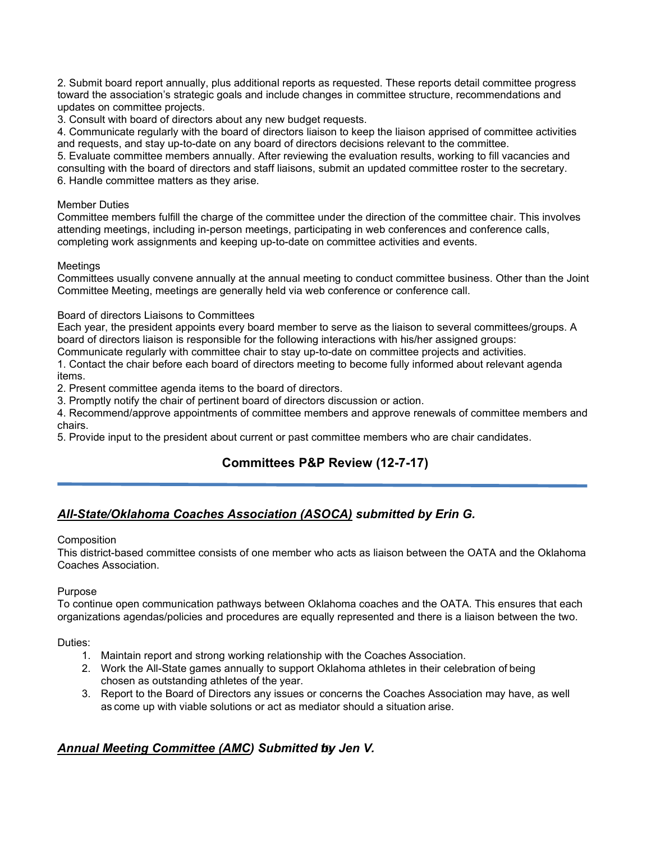2. Submit board report annually, plus additional reports as requested. These reports detail committee progress toward the association's strategic goals and include changes in committee structure, recommendations and updates on committee projects.

3. Consult with board of directors about any new budget requests.

4. Communicate regularly with the board of directors liaison to keep the liaison apprised of committee activities and requests, and stay up-to-date on any board of directors decisions relevant to the committee.

5. Evaluate committee members annually. After reviewing the evaluation results, working to fill vacancies and consulting with the board of directors and staff liaisons, submit an updated committee roster to the secretary. 6. Handle committee matters as they arise.

### Member Duties

Committee members fulfill the charge of the committee under the direction of the committee chair. This involves attending meetings, including in-person meetings, participating in web conferences and conference calls, completing work assignments and keeping up-to-date on committee activities and events.

### **Meetings**

Committees usually convene annually at the annual meeting to conduct committee business. Other than the Joint Committee Meeting, meetings are generally held via web conference or conference call.

### Board of directors Liaisons to Committees

Each year, the president appoints every board member to serve as the liaison to several committees/groups. A board of directors liaison is responsible for the following interactions with his/her assigned groups:

Communicate regularly with committee chair to stay up-to-date on committee projects and activities.

1. Contact the chair before each board of directors meeting to become fully informed about relevant agenda items.

2. Present committee agenda items to the board of directors.

3. Promptly notify the chair of pertinent board of directors discussion or action.

4. Recommend/approve appointments of committee members and approve renewals of committee members and chairs.

5. Provide input to the president about current or past committee members who are chair candidates.

## **Committees P&P Review (12-7-17)**

## *All-State/Oklahoma Coaches Association (ASOCA) submitted by Erin G.*

### **Composition**

This district-based committee consists of one member who acts as liaison between the OATA and the Oklahoma Coaches Association.

## Purpose

To continue open communication pathways between Oklahoma coaches and the OATA. This ensures that each organizations agendas/policies and procedures are equally represented and there is a liaison between the two.

Duties:

- 1. Maintain report and strong working relationship with the Coaches Association.
- 2. Work the All-State games annually to support Oklahoma athletes in their celebration of being chosen as outstanding athletes of the year.
- 3. Report to the Board of Directors any issues or concerns the Coaches Association may have, as well as come up with viable solutions or act as mediator should a situation arise.

## 10 *Annual Meeting Committee (AMC) Submitted by Jen V.*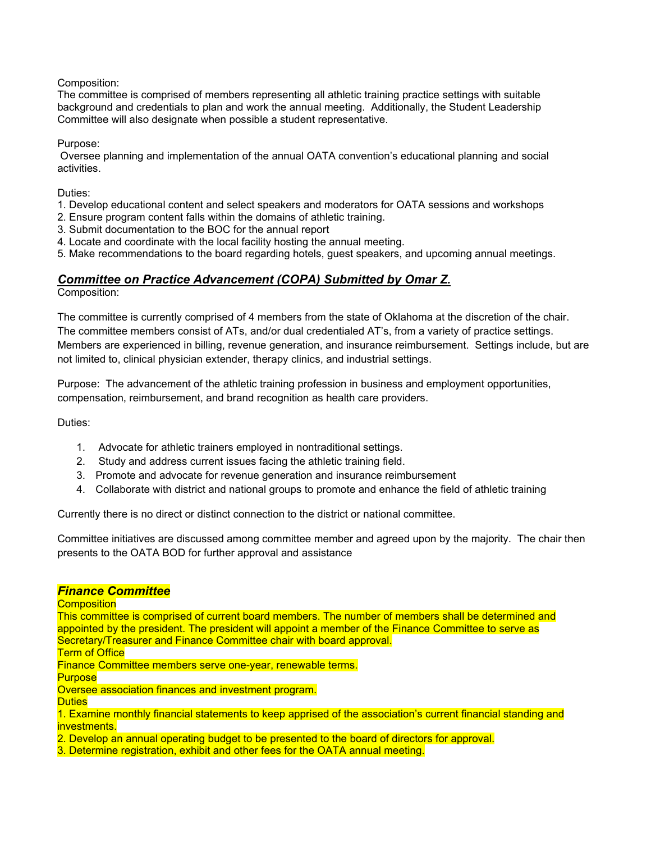## Composition:

The committee is comprised of members representing all athletic training practice settings with suitable background and credentials to plan and work the annual meeting. Additionally, the Student Leadership Committee will also designate when possible a student representative.

Purpose:

Oversee planning and implementation of the annual OATA convention's educational planning and social activities.

Duties:

1. Develop educational content and select speakers and moderators for OATA sessions and workshops

- 2. Ensure program content falls within the domains of athletic training.
- 3. Submit documentation to the BOC for the annual report
- 4. Locate and coordinate with the local facility hosting the annual meeting.
- 5. Make recommendations to the board regarding hotels, guest speakers, and upcoming annual meetings.

## *Committee on Practice Advancement (COPA) Submitted by Omar Z.*

Composition:

The committee is currently comprised of 4 members from the state of Oklahoma at the discretion of the chair. The committee members consist of ATs, and/or dual credentialed AT's, from a variety of practice settings. Members are experienced in billing, revenue generation, and insurance reimbursement. Settings include, but are not limited to, clinical physician extender, therapy clinics, and industrial settings.

Purpose: The advancement of the athletic training profession in business and employment opportunities, compensation, reimbursement, and brand recognition as health care providers.

Duties:

- 1. Advocate for athletic trainers employed in nontraditional settings.
- 2. Study and address current issues facing the athletic training field.
- 3. Promote and advocate for revenue generation and insurance reimbursement
- 4. Collaborate with district and national groups to promote and enhance the field of athletic training

Currently there is no direct or distinct connection to the district or national committee.

Committee initiatives are discussed among committee member and agreed upon by the majority. The chair then presents to the OATA BOD for further approval and assistance

## *Finance Committee*

**Composition** 

This committee is comprised of current board members. The number of members shall be determined and appointed by the president. The president will appoint a member of the Finance Committee to serve as Secretary/Treasurer and Finance Committee chair with board approval.

**Term of Office** 

Finance Committee members serve one-year, renewable terms.

**Purpose** 

Oversee association finances and investment program.

**Duties** 

1. Examine monthly financial statements to keep apprised of the association's current financial standing and investments.

2. Develop an annual operating budget to be presented to the board of directors for approval.

3. Determine registration, exhibit and other fees for the OATA annual meeting.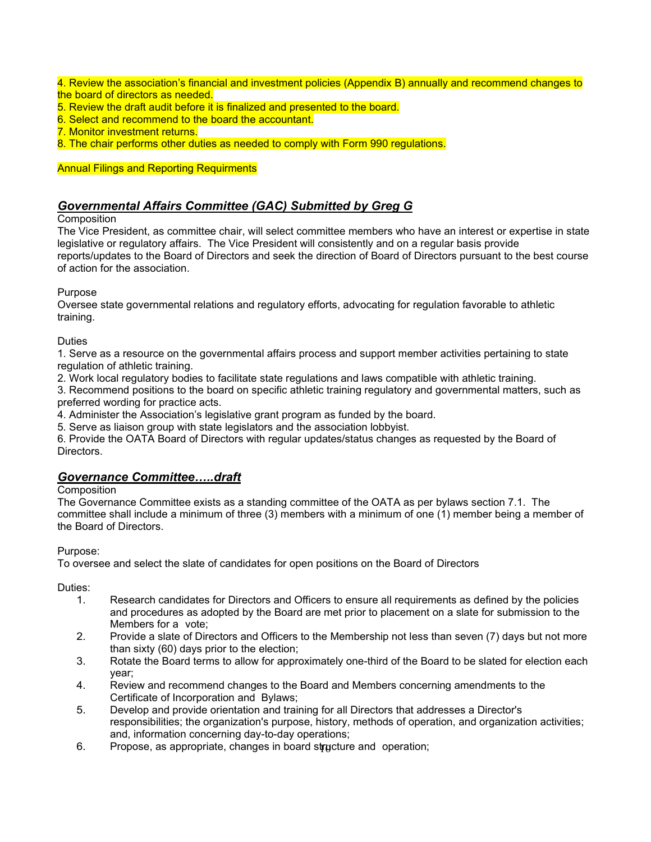4. Review the association's financial and investment policies (Appendix B) annually and recommend changes to the board of directors as needed.

- 5. Review the draft audit before it is finalized and presented to the board.
- 6. Select and recommend to the board the accountant.
- 7. Monitor investment returns.
- 8. The chair performs other duties as needed to comply with Form 990 regulations.

### Annual Filings and Reporting Requirments

## *Governmental Affairs Committee (GAC) Submitted by Greg G*

### **Composition**

The Vice President, as committee chair, will select committee members who have an interest or expertise in state legislative or regulatory affairs. The Vice President will consistently and on a regular basis provide reports/updates to the Board of Directors and seek the direction of Board of Directors pursuant to the best course of action for the association.

### Purpose

Oversee state governmental relations and regulatory efforts, advocating for regulation favorable to athletic training.

### **Duties**

1. Serve as a resource on the governmental affairs process and support member activities pertaining to state regulation of athletic training.

2. Work local regulatory bodies to facilitate state regulations and laws compatible with athletic training.

3. Recommend positions to the board on specific athletic training regulatory and governmental matters, such as preferred wording for practice acts.

4. Administer the Association's legislative grant program as funded by the board.

5. Serve as liaison group with state legislators and the association lobbyist.

6. Provide the OATA Board of Directors with regular updates/status changes as requested by the Board of Directors.

## *Governance Committee…..draft*

### **Composition**

The Governance Committee exists as a standing committee of the OATA as per bylaws section 7.1. The committee shall include a minimum of three (3) members with a minimum of one (1) member being a member of the Board of Directors.

### Purpose:

To oversee and select the slate of candidates for open positions on the Board of Directors

Duties:

- 1. Research candidates for Directors and Officers to ensure all requirements as defined by the policies and procedures as adopted by the Board are met prior to placement on a slate for submission to the Members for a vote;
- 2. Provide a slate of Directors and Officers to the Membership not less than seven (7) days but not more than sixty (60) days prior to the election;
- 3. Rotate the Board terms to allow for approximately one-third of the Board to be slated for election each year;
- 4. Review and recommend changes to the Board and Members concerning amendments to the Certificate of Incorporation and Bylaws;
- 5. Develop and provide orientation and training for all Directors that addresses a Director's responsibilities; the organization's purpose, history, methods of operation, and organization activities; and, information concerning day-to-day operations;
- 6. Propose, as appropriate, changes in board structure and operation;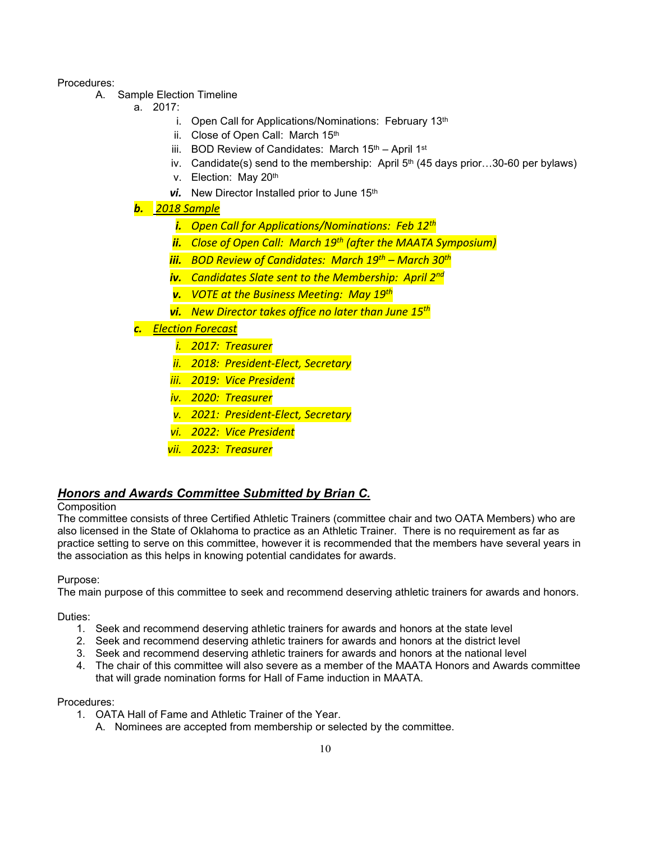### Procedures:

- A. Sample Election Timeline
	- a. 2017:
		- i. Open Call for Applications/Nominations: February 13th
		- ii. Close of Open Call: March 15th
		- iii. BOD Review of Candidates: March  $15<sup>th</sup>$  April 1st
		- iv. Candidate(s) send to the membership: April  $5<sup>th</sup>$  (45 days prior...30-60 per bylaws)
		- v. Election: May 20th
		- **vi.** New Director Installed prior to June 15<sup>th</sup>

*b. 2018 Sample*

- *i. Open Call for Applications/Nominations: Feb 12th*
- *ii. Close of Open Call: March 19th (after the MAATA Symposium)*
- *iii. BOD Review of Candidates: March 19th March 30th*
- *iv. Candidates Slate sent to the Membership: April 2nd*
- *v. VOTE at the Business Meeting: May 19th*
- *vi. New Director takes office no later than June 15th*

*c. Election Forecast*

- *i. 2017: Treasurer*
	- *ii. 2018: President-Elect, Secretary*
- *iii. 2019: Vice President*
- *iv. 2020: Treasurer*
- *v. 2021: President-Elect, Secretary*
- *vi. 2022: Vice President*
- *vii. 2023: Treasurer*

## *Honors and Awards Committee Submitted by Brian C.*

## **Composition**

The committee consists of three Certified Athletic Trainers (committee chair and two OATA Members) who are also licensed in the State of Oklahoma to practice as an Athletic Trainer. There is no requirement as far as practice setting to serve on this committee, however it is recommended that the members have several years in the association as this helps in knowing potential candidates for awards.

Purpose:

The main purpose of this committee to seek and recommend deserving athletic trainers for awards and honors.

### Duties:

- 1. Seek and recommend deserving athletic trainers for awards and honors at the state level
- 2. Seek and recommend deserving athletic trainers for awards and honors at the district level
- 3. Seek and recommend deserving athletic trainers for awards and honors at the national level
- 4. The chair of this committee will also severe as a member of the MAATA Honors and Awards committee that will grade nomination forms for Hall of Fame induction in MAATA.

### Procedures:

- 1. OATA Hall of Fame and Athletic Trainer of the Year.
	- A. Nominees are accepted from membership or selected by the committee.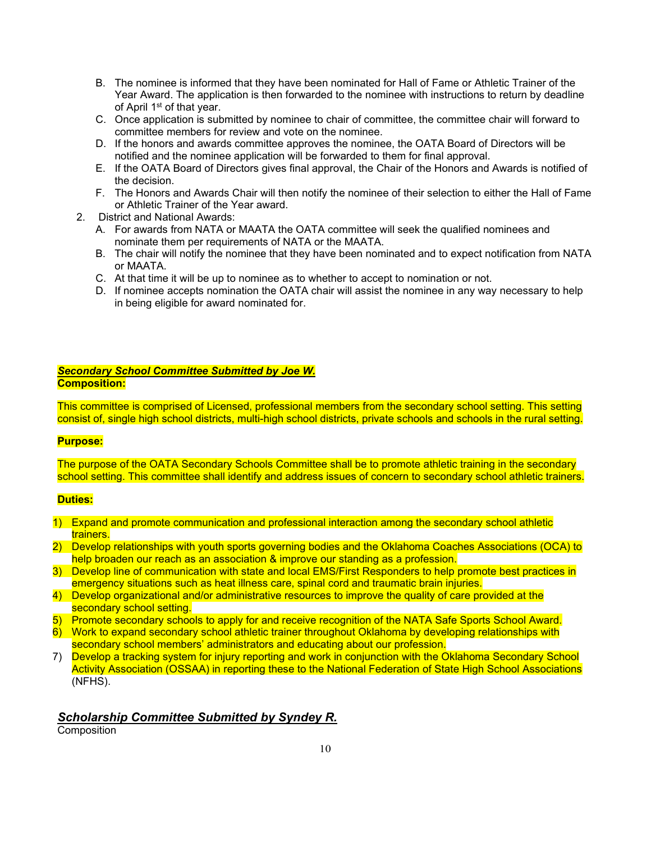- B. The nominee is informed that they have been nominated for Hall of Fame or Athletic Trainer of the Year Award. The application is then forwarded to the nominee with instructions to return by deadline of April 1st of that year.
- C. Once application is submitted by nominee to chair of committee, the committee chair will forward to committee members for review and vote on the nominee.
- D. If the honors and awards committee approves the nominee, the OATA Board of Directors will be notified and the nominee application will be forwarded to them for final approval.
- E. If the OATA Board of Directors gives final approval, the Chair of the Honors and Awards is notified of the decision.
- F. The Honors and Awards Chair will then notify the nominee of their selection to either the Hall of Fame or Athletic Trainer of the Year award.
- 2. District and National Awards:
	- A. For awards from NATA or MAATA the OATA committee will seek the qualified nominees and nominate them per requirements of NATA or the MAATA.
	- B. The chair will notify the nominee that they have been nominated and to expect notification from NATA or MAATA.
	- C. At that time it will be up to nominee as to whether to accept to nomination or not.
	- D. If nominee accepts nomination the OATA chair will assist the nominee in any way necessary to help in being eligible for award nominated for.

#### *Secondary School Committee Submitted by Joe W.* **Composition:**

This committee is comprised of Licensed, professional members from the secondary school setting. This setting consist of, single high school districts, multi-high school districts, private schools and schools in the rural setting.

### **Purpose:**

The purpose of the OATA Secondary Schools Committee shall be to promote athletic training in the secondary school setting. This committee shall identify and address issues of concern to secondary school athletic trainers.

### **Duties:**

- 1) Expand and promote communication and professional interaction among the secondary school athletic trainers.
- 2) Develop relationships with youth sports governing bodies and the Oklahoma Coaches Associations (OCA) to help broaden our reach as an association & improve our standing as a profession.
- 3) Develop line of communication with state and local EMS/First Responders to help promote best practices in emergency situations such as heat illness care, spinal cord and traumatic brain injuries.
- 4) Develop organizational and/or administrative resources to improve the quality of care provided at the secondary school setting.
- 5) Promote secondary schools to apply for and receive recognition of the NATA Safe Sports School Award.
- 6) Work to expand secondary school athletic trainer throughout Oklahoma by developing relationships with secondary school members' administrators and educating about our profession.
- 7) Develop a tracking system for injury reporting and work in conjunction with the Oklahoma Secondary School Activity Association (OSSAA) in reporting these to the National Federation of State High School Associations (NFHS).

## *Scholarship Committee Submitted by Syndey R.*

**Composition**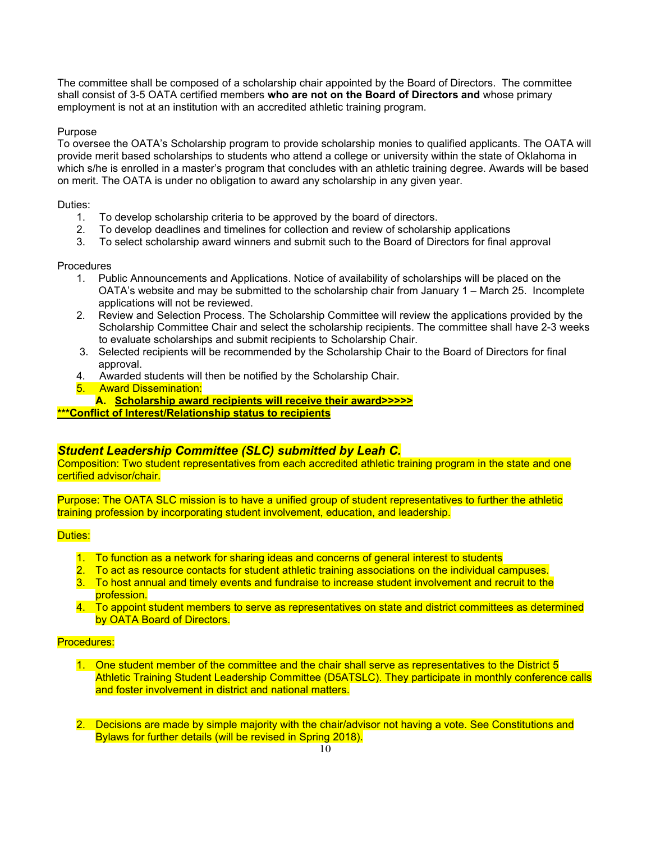The committee shall be composed of a scholarship chair appointed by the Board of Directors. The committee shall consist of 3-5 OATA certified members **who are not on the Board of Directors and** whose primary employment is not at an institution with an accredited athletic training program.

### Purpose

To oversee the OATA's Scholarship program to provide scholarship monies to qualified applicants. The OATA will provide merit based scholarships to students who attend a college or university within the state of Oklahoma in which s/he is enrolled in a master's program that concludes with an athletic training degree. Awards will be based on merit. The OATA is under no obligation to award any scholarship in any given year.

### Duties:

- 1. To develop scholarship criteria to be approved by the board of directors.
- 2. To develop deadlines and timelines for collection and review of scholarship applications
- 3. To select scholarship award winners and submit such to the Board of Directors for final approval

### **Procedures**

- 1. Public Announcements and Applications. Notice of availability of scholarships will be placed on the OATA's website and may be submitted to the scholarship chair from January 1 – March 25. Incomplete applications will not be reviewed.
- 2. Review and Selection Process. The Scholarship Committee will review the applications provided by the Scholarship Committee Chair and select the scholarship recipients. The committee shall have 2-3 weeks to evaluate scholarships and submit recipients to Scholarship Chair.
- 3. Selected recipients will be recommended by the Scholarship Chair to the Board of Directors for final approval.
- 4. Awarded students will then be notified by the Scholarship Chair.
- 5. Award Dissemination:
- **A. Scholarship award recipients will receive their award>>>>>**

**\*\*\*Conflict of Interest/Relationship status to recipients**

## *Student Leadership Committee (SLC) submitted by Leah C.*

Composition: Two student representatives from each accredited athletic training program in the state and one certified advisor/chair.

Purpose: The OATA SLC mission is to have a unified group of student representatives to further the athletic training profession by incorporating student involvement, education, and leadership.

### Duties:

- 1. To function as a network for sharing ideas and concerns of general interest to students
- 2. To act as resource contacts for student athletic training associations on the individual campuses.
- 3. To host annual and timely events and fundraise to increase student involvement and recruit to the profession.
- 4. To appoint student members to serve as representatives on state and district committees as determined by OATA Board of Directors.

## Procedures:

- 1. One student member of the committee and the chair shall serve as representatives to the District 5 Athletic Training Student Leadership Committee (D5ATSLC). They participate in monthly conference calls and foster involvement in district and national matters.
- 2. Decisions are made by simple majority with the chair/advisor not having a vote. See Constitutions and Bylaws for further details (will be revised in Spring 2018).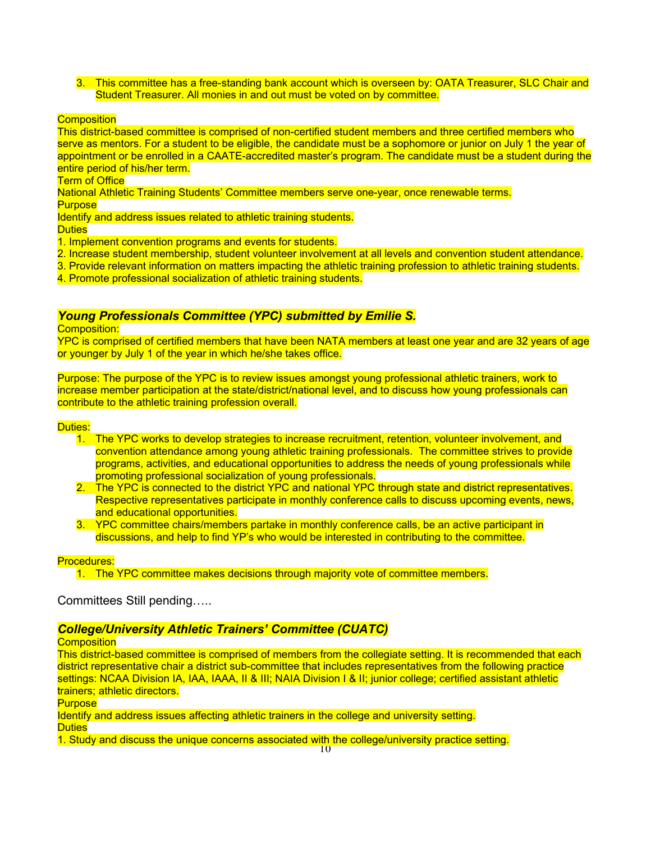3. This committee has a free-standing bank account which is overseen by: OATA Treasurer, SLC Chair and Student Treasurer. All monies in and out must be voted on by committee.

### **Composition**

This district-based committee is comprised of non-certified student members and three certified members who serve as mentors. For a student to be eligible, the candidate must be a sophomore or junior on July 1 the year of appointment or be enrolled in a CAATE-accredited master's program. The candidate must be a student during the entire period of his/her term.

**Term of Office** 

National Athletic Training Students' Committee members serve one-year, once renewable terms. **Purpose** 

Identify and address issues related to athletic training students.

Duties

1. Implement convention programs and events for students.

- 2. Increase student membership, student volunteer involvement at all levels and convention student attendance.
- 3. Provide relevant information on matters impacting the athletic training profession to athletic training students.
- 4. Promote professional socialization of athletic training students.

## *Young Professionals Committee (YPC) submitted by Emilie S.*

Composition:

YPC is comprised of certified members that have been NATA members at least one year and are 32 years of age or younger by July 1 of the year in which he/she takes office.

Purpose: The purpose of the YPC is to review issues amongst young professional athletic trainers, work to increase member participation at the state/district/national level, and to discuss how young professionals can contribute to the athletic training profession overall.

Duties:

- 1. The YPC works to develop strategies to increase recruitment, retention, volunteer involvement, and convention attendance among young athletic training professionals. The committee strives to provide programs, activities, and educational opportunities to address the needs of young professionals while promoting professional socialization of young professionals.
- 2. The YPC is connected to the district YPC and national YPC through state and district representatives. Respective representatives participate in monthly conference calls to discuss upcoming events, news, and educational opportunities.
- 3. YPC committee chairs/members partake in monthly conference calls, be an active participant in discussions, and help to find YP's who would be interested in contributing to the committee.

### Procedures:

1. The YPC committee makes decisions through majority vote of committee members.

Committees Still pending…..

## *College/University Athletic Trainers' Committee (CUATC)*

**Composition** 

This district-based committee is comprised of members from the collegiate setting. It is recommended that each district representative chair a district sub-committee that includes representatives from the following practice settings: NCAA Division IA, IAA, IAAA, II & III; NAIA Division I & II; junior college; certified assistant athletic trainers; athletic directors.

**Purpose** 

Identify and address issues affecting athletic trainers in the college and university setting. **Duties** 

1. Study and discuss the unique concerns associated with the college/university practice setting.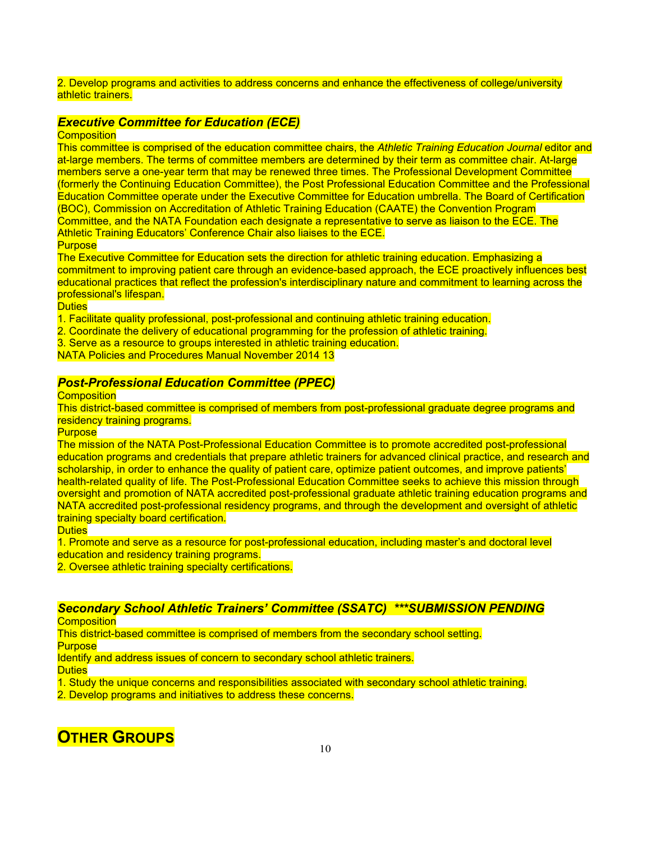### 2. Develop programs and activities to address concerns and enhance the effectiveness of college/university athletic trainers.

## *Executive Committee for Education (ECE)*

**Composition** 

This committee is comprised of the education committee chairs, the *Athletic Training Education Journal* editor and at-large members. The terms of committee members are determined by their term as committee chair. At-large members serve a one-year term that may be renewed three times. The Professional Development Committee (formerly the Continuing Education Committee), the Post Professional Education Committee and the Professional Education Committee operate under the Executive Committee for Education umbrella. The Board of Certification (BOC), Commission on Accreditation of Athletic Training Education (CAATE) the Convention Program Committee, and the NATA Foundation each designate a representative to serve as liaison to the ECE. The Athletic Training Educators' Conference Chair also liaises to the ECE. **Purpose** 

The Executive Committee for Education sets the direction for athletic training education. Emphasizing a commitment to improving patient care through an evidence-based approach, the ECE proactively influences best educational practices that reflect the profession's interdisciplinary nature and commitment to learning across the professional's lifespan.

**Duties** 

- 1. Facilitate quality professional, post-professional and continuing athletic training education.
- 2. Coordinate the delivery of educational programming for the profession of athletic training.
- 3. Serve as a resource to groups interested in athletic training education.

NATA Policies and Procedures Manual November 2014 13

## *Post-Professional Education Committee (PPEC)*

**Composition** 

This district-based committee is comprised of members from post-professional graduate degree programs and residency training programs.

**Purpose** 

The mission of the NATA Post-Professional Education Committee is to promote accredited post-professional education programs and credentials that prepare athletic trainers for advanced clinical practice, and research and scholarship, in order to enhance the quality of patient care, optimize patient outcomes, and improve patients' health-related quality of life. The Post-Professional Education Committee seeks to achieve this mission through oversight and promotion of NATA accredited post-professional graduate athletic training education programs and NATA accredited post-professional residency programs, and through the development and oversight of athletic training specialty board certification.

Duties

1. Promote and serve as a resource for post-professional education, including master's and doctoral level education and residency training programs.

2. Oversee athletic training specialty certifications.

## *Secondary School Athletic Trainers' Committee (SSATC) \*\*\*SUBMISSION PENDING*

**Composition** 

This district-based committee is comprised of members from the secondary school setting. **Purpose** 

Identify and address issues of concern to secondary school athletic trainers.

**Duties** 

1. Study the unique concerns and responsibilities associated with secondary school athletic training.

2. Develop programs and initiatives to address these concerns.

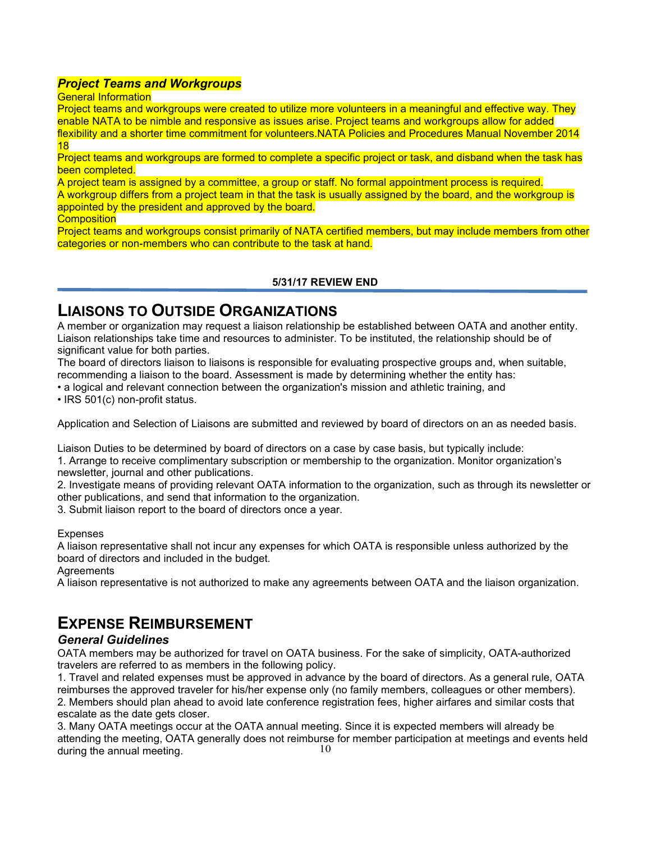## *Project Teams and Workgroups*

General Information

Project teams and workgroups were created to utilize more volunteers in a meaningful and effective way. They enable NATA to be nimble and responsive as issues arise. Project teams and workgroups allow for added flexibility and a shorter time commitment for volunteers.NATA Policies and Procedures Manual November 2014 18

Project teams and workgroups are formed to complete a specific project or task, and disband when the task has been completed.

A project team is assigned by a committee, a group or staff. No formal appointment process is required. A workgroup differs from a project team in that the task is usually assigned by the board, and the workgroup is appointed by the president and approved by the board.

**Composition** 

Project teams and workgroups consist primarily of NATA certified members, but may include members from other categories or non-members who can contribute to the task at hand.

## **5/31/17 REVIEW END**

# **LIAISONS TO OUTSIDE ORGANIZATIONS**

A member or organization may request a liaison relationship be established between OATA and another entity. Liaison relationships take time and resources to administer. To be instituted, the relationship should be of significant value for both parties.

The board of directors liaison to liaisons is responsible for evaluating prospective groups and, when suitable, recommending a liaison to the board. Assessment is made by determining whether the entity has:

• a logical and relevant connection between the organization's mission and athletic training, and

• IRS 501(c) non-profit status.

Application and Selection of Liaisons are submitted and reviewed by board of directors on an as needed basis.

Liaison Duties to be determined by board of directors on a case by case basis, but typically include:

1. Arrange to receive complimentary subscription or membership to the organization. Monitor organization's newsletter, journal and other publications.

2. Investigate means of providing relevant OATA information to the organization, such as through its newsletter or other publications, and send that information to the organization.

3. Submit liaison report to the board of directors once a year.

### Expenses

A liaison representative shall not incur any expenses for which OATA is responsible unless authorized by the board of directors and included in the budget.

**Agreements** 

A liaison representative is not authorized to make any agreements between OATA and the liaison organization.

# **EXPENSE REIMBURSEMENT**

## *General Guidelines*

OATA members may be authorized for travel on OATA business. For the sake of simplicity, OATA-authorized travelers are referred to as members in the following policy.

1. Travel and related expenses must be approved in advance by the board of directors. As a general rule, OATA reimburses the approved traveler for his/her expense only (no family members, colleagues or other members). 2. Members should plan ahead to avoid late conference registration fees, higher airfares and similar costs that escalate as the date gets closer.

10 3. Many OATA meetings occur at the OATA annual meeting. Since it is expected members will already be attending the meeting, OATA generally does not reimburse for member participation at meetings and events held during the annual meeting.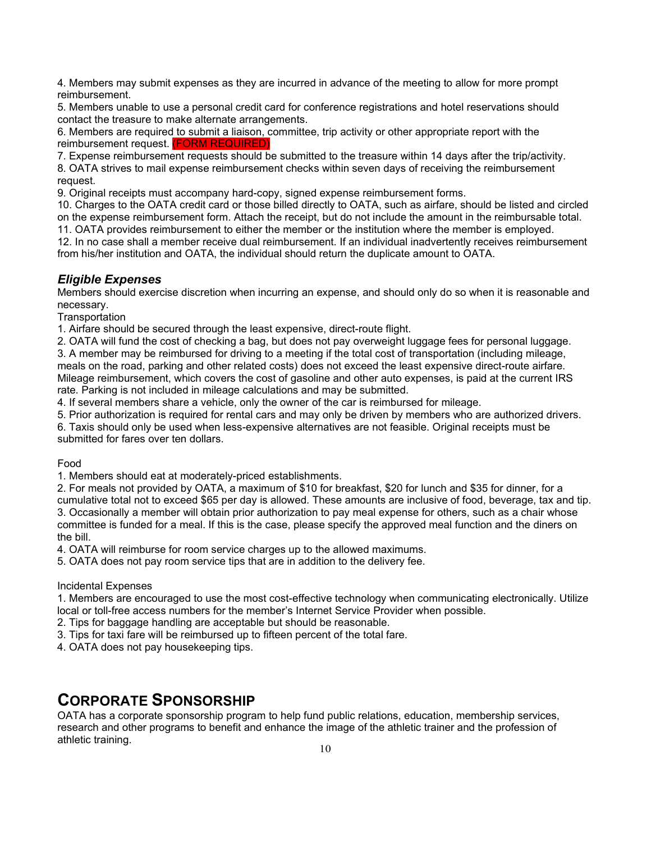4. Members may submit expenses as they are incurred in advance of the meeting to allow for more prompt reimbursement.

5. Members unable to use a personal credit card for conference registrations and hotel reservations should contact the treasure to make alternate arrangements.

6. Members are required to submit a liaison, committee, trip activity or other appropriate report with the reimbursement request. (FORM REQUIRED)

7. Expense reimbursement requests should be submitted to the treasure within 14 days after the trip/activity. 8. OATA strives to mail expense reimbursement checks within seven days of receiving the reimbursement

request.

9. Original receipts must accompany hard-copy, signed expense reimbursement forms.

10. Charges to the OATA credit card or those billed directly to OATA, such as airfare, should be listed and circled on the expense reimbursement form. Attach the receipt, but do not include the amount in the reimbursable total.

11. OATA provides reimbursement to either the member or the institution where the member is employed. 12. In no case shall a member receive dual reimbursement. If an individual inadvertently receives reimbursement from his/her institution and OATA, the individual should return the duplicate amount to OATA.

## *Eligible Expenses*

Members should exercise discretion when incurring an expense, and should only do so when it is reasonable and necessary.

**Transportation** 

1. Airfare should be secured through the least expensive, direct-route flight.

2. OATA will fund the cost of checking a bag, but does not pay overweight luggage fees for personal luggage.

3. A member may be reimbursed for driving to a meeting if the total cost of transportation (including mileage, meals on the road, parking and other related costs) does not exceed the least expensive direct-route airfare.

Mileage reimbursement, which covers the cost of gasoline and other auto expenses, is paid at the current IRS rate. Parking is not included in mileage calculations and may be submitted.

4. If several members share a vehicle, only the owner of the car is reimbursed for mileage.

5. Prior authorization is required for rental cars and may only be driven by members who are authorized drivers.

6. Taxis should only be used when less-expensive alternatives are not feasible. Original receipts must be submitted for fares over ten dollars.

Food

1. Members should eat at moderately-priced establishments.

2. For meals not provided by OATA, a maximum of \$10 for breakfast, \$20 for lunch and \$35 for dinner, for a cumulative total not to exceed \$65 per day is allowed. These amounts are inclusive of food, beverage, tax and tip. 3. Occasionally a member will obtain prior authorization to pay meal expense for others, such as a chair whose committee is funded for a meal. If this is the case, please specify the approved meal function and the diners on the bill.

4. OATA will reimburse for room service charges up to the allowed maximums.

5. OATA does not pay room service tips that are in addition to the delivery fee.

### Incidental Expenses

1. Members are encouraged to use the most cost-effective technology when communicating electronically. Utilize local or toll-free access numbers for the member's Internet Service Provider when possible.

2. Tips for baggage handling are acceptable but should be reasonable.

3. Tips for taxi fare will be reimbursed up to fifteen percent of the total fare.

4. OATA does not pay housekeeping tips.

# **CORPORATE SPONSORSHIP**

OATA has a corporate sponsorship program to help fund public relations, education, membership services, research and other programs to benefit and enhance the image of the athletic trainer and the profession of athletic training.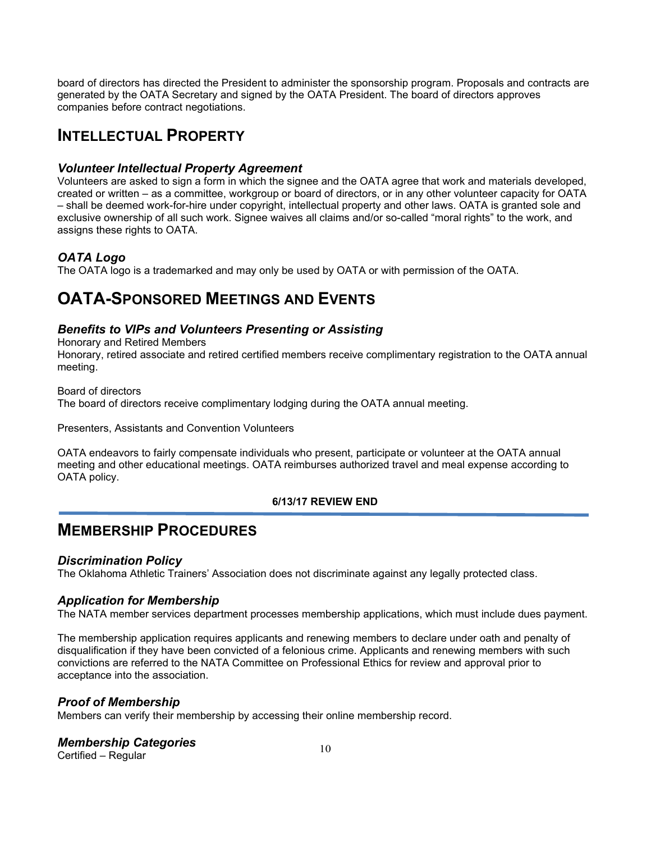board of directors has directed the President to administer the sponsorship program. Proposals and contracts are generated by the OATA Secretary and signed by the OATA President. The board of directors approves companies before contract negotiations.

# **INTELLECTUAL PROPERTY**

## *Volunteer Intellectual Property Agreement*

Volunteers are asked to sign a form in which the signee and the OATA agree that work and materials developed, created or written – as a committee, workgroup or board of directors, or in any other volunteer capacity for OATA – shall be deemed work-for-hire under copyright, intellectual property and other laws. OATA is granted sole and exclusive ownership of all such work. Signee waives all claims and/or so-called "moral rights" to the work, and assigns these rights to OATA.

## *OATA Logo*

The OATA logo is a trademarked and may only be used by OATA or with permission of the OATA.

# **OATA-SPONSORED MEETINGS AND EVENTS**

## *Benefits to VIPs and Volunteers Presenting or Assisting*

Honorary and Retired Members

Honorary, retired associate and retired certified members receive complimentary registration to the OATA annual meeting.

Board of directors The board of directors receive complimentary lodging during the OATA annual meeting.

### Presenters, Assistants and Convention Volunteers

OATA endeavors to fairly compensate individuals who present, participate or volunteer at the OATA annual meeting and other educational meetings. OATA reimburses authorized travel and meal expense according to OATA policy.

## **6/13/17 REVIEW END**

# **MEMBERSHIP PROCEDURES**

## *Discrimination Policy*

The Oklahoma Athletic Trainers' Association does not discriminate against any legally protected class.

## *Application for Membership*

The NATA member services department processes membership applications, which must include dues payment.

The membership application requires applicants and renewing members to declare under oath and penalty of disqualification if they have been convicted of a felonious crime. Applicants and renewing members with such convictions are referred to the NATA Committee on Professional Ethics for review and approval prior to acceptance into the association.

## *Proof of Membership*

Members can verify their membership by accessing their online membership record.

## *Membership Categories*

Certified – Regular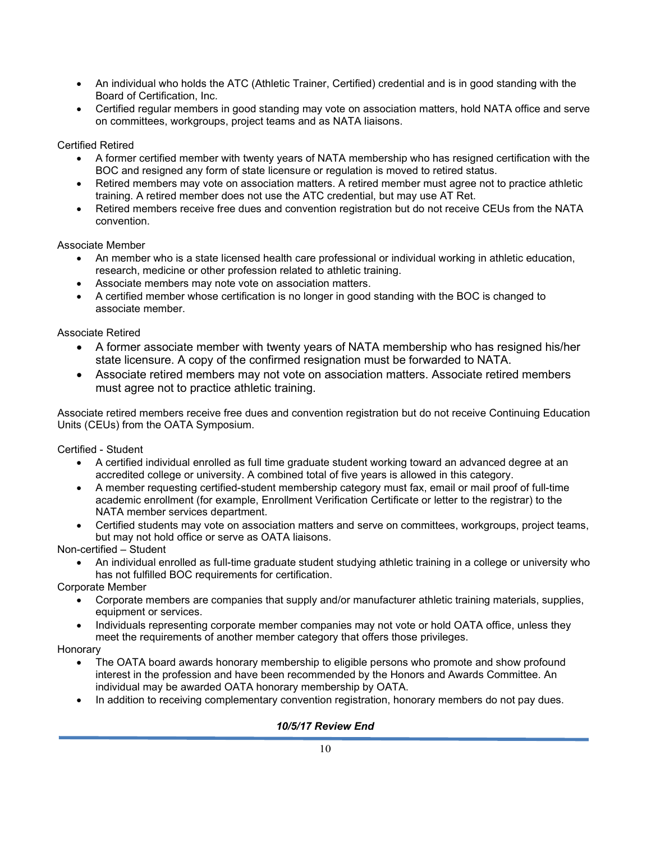- An individual who holds the ATC (Athletic Trainer, Certified) credential and is in good standing with the Board of Certification, Inc.
- Certified regular members in good standing may vote on association matters, hold NATA office and serve on committees, workgroups, project teams and as NATA liaisons.

## Certified Retired

- A former certified member with twenty years of NATA membership who has resigned certification with the BOC and resigned any form of state licensure or regulation is moved to retired status.
- Retired members may vote on association matters. A retired member must agree not to practice athletic training. A retired member does not use the ATC credential, but may use AT Ret.
- Retired members receive free dues and convention registration but do not receive CEUs from the NATA convention.

### Associate Member

- An member who is a state licensed health care professional or individual working in athletic education, research, medicine or other profession related to athletic training.
- Associate members may note vote on association matters.
- A certified member whose certification is no longer in good standing with the BOC is changed to associate member.

### Associate Retired

- A former associate member with twenty years of NATA membership who has resigned his/her state licensure. A copy of the confirmed resignation must be forwarded to NATA.
- Associate retired members may not vote on association matters. Associate retired members must agree not to practice athletic training.

Associate retired members receive free dues and convention registration but do not receive Continuing Education Units (CEUs) from the OATA Symposium.

Certified - Student

- A certified individual enrolled as full time graduate student working toward an advanced degree at an accredited college or university. A combined total of five years is allowed in this category.
- A member requesting certified-student membership category must fax, email or mail proof of full-time academic enrollment (for example, Enrollment Verification Certificate or letter to the registrar) to the NATA member services department.
- Certified students may vote on association matters and serve on committees, workgroups, project teams, but may not hold office or serve as OATA liaisons.

Non-certified – Student

• An individual enrolled as full-time graduate student studying athletic training in a college or university who has not fulfilled BOC requirements for certification.

Corporate Member

- Corporate members are companies that supply and/or manufacturer athletic training materials, supplies, equipment or services.
- Individuals representing corporate member companies may not vote or hold OATA office, unless they meet the requirements of another member category that offers those privileges.

**Honorary** 

- The OATA board awards honorary membership to eligible persons who promote and show profound interest in the profession and have been recommended by the Honors and Awards Committee. An individual may be awarded OATA honorary membership by OATA.
- In addition to receiving complementary convention registration, honorary members do not pay dues.

## *10/5/17 Review End*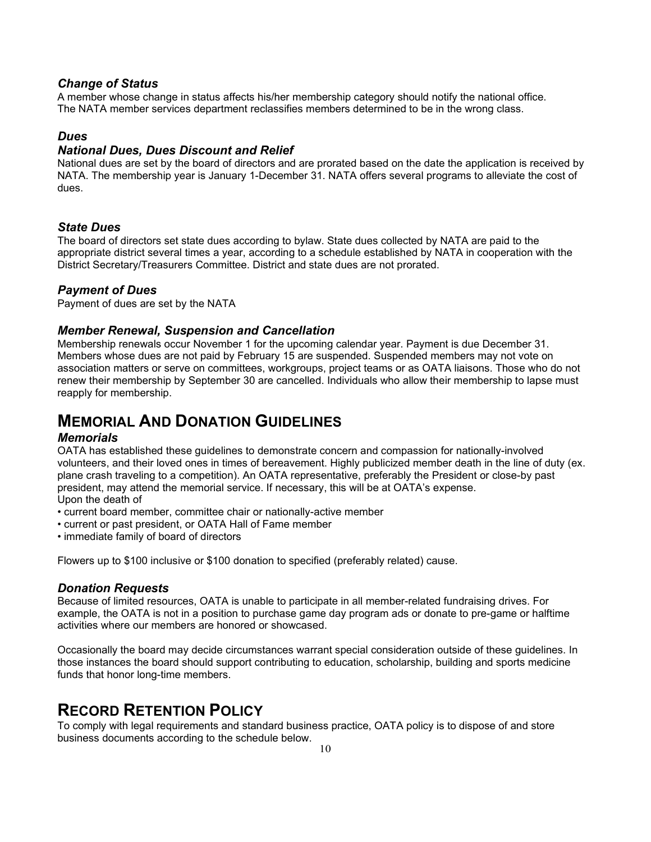## *Change of Status*

A member whose change in status affects his/her membership category should notify the national office. The NATA member services department reclassifies members determined to be in the wrong class.

## *Dues*

## *National Dues, Dues Discount and Relief*

National dues are set by the board of directors and are prorated based on the date the application is received by NATA. The membership year is January 1-December 31. NATA offers several programs to alleviate the cost of dues.

## *State Dues*

The board of directors set state dues according to bylaw. State dues collected by NATA are paid to the appropriate district several times a year, according to a schedule established by NATA in cooperation with the District Secretary/Treasurers Committee. District and state dues are not prorated.

## *Payment of Dues*

Payment of dues are set by the NATA

## *Member Renewal, Suspension and Cancellation*

Membership renewals occur November 1 for the upcoming calendar year. Payment is due December 31. Members whose dues are not paid by February 15 are suspended. Suspended members may not vote on association matters or serve on committees, workgroups, project teams or as OATA liaisons. Those who do not renew their membership by September 30 are cancelled. Individuals who allow their membership to lapse must reapply for membership.

# **MEMORIAL AND DONATION GUIDELINES**

### *Memorials*

OATA has established these guidelines to demonstrate concern and compassion for nationally-involved volunteers, and their loved ones in times of bereavement. Highly publicized member death in the line of duty (ex. plane crash traveling to a competition). An OATA representative, preferably the President or close-by past president, may attend the memorial service. If necessary, this will be at OATA's expense. Upon the death of

- current board member, committee chair or nationally-active member
- current or past president, or OATA Hall of Fame member
- immediate family of board of directors

Flowers up to \$100 inclusive or \$100 donation to specified (preferably related) cause.

## *Donation Requests*

Because of limited resources, OATA is unable to participate in all member-related fundraising drives. For example, the OATA is not in a position to purchase game day program ads or donate to pre-game or halftime activities where our members are honored or showcased.

Occasionally the board may decide circumstances warrant special consideration outside of these guidelines. In those instances the board should support contributing to education, scholarship, building and sports medicine funds that honor long-time members.

# **RECORD RETENTION POLICY**

To comply with legal requirements and standard business practice, OATA policy is to dispose of and store business documents according to the schedule below.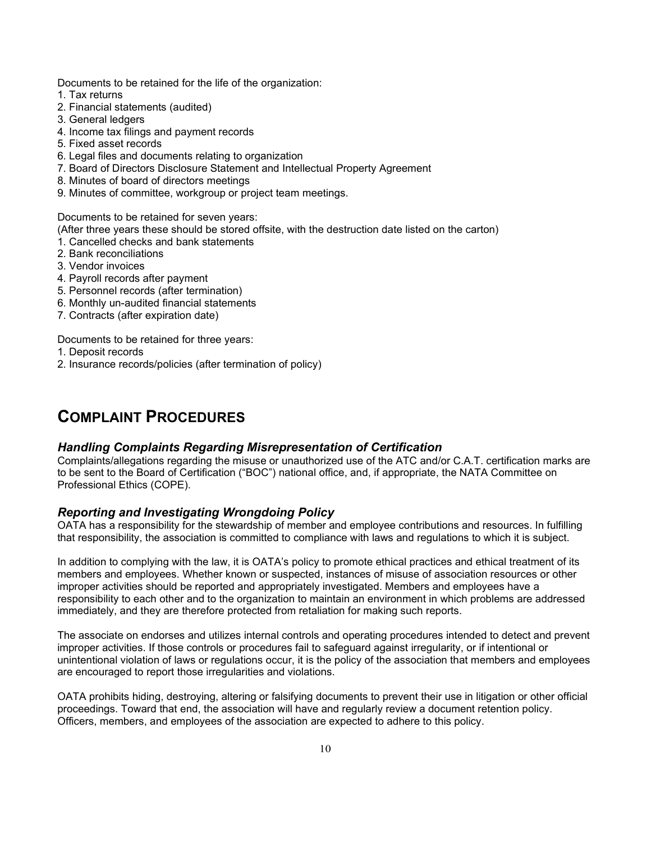Documents to be retained for the life of the organization:

- 1. Tax returns
- 2. Financial statements (audited)
- 3. General ledgers
- 4. Income tax filings and payment records
- 5. Fixed asset records
- 6. Legal files and documents relating to organization
- 7. Board of Directors Disclosure Statement and Intellectual Property Agreement
- 8. Minutes of board of directors meetings
- 9. Minutes of committee, workgroup or project team meetings.

Documents to be retained for seven years:

(After three years these should be stored offsite, with the destruction date listed on the carton)

- 1. Cancelled checks and bank statements
- 2. Bank reconciliations
- 3. Vendor invoices
- 4. Payroll records after payment
- 5. Personnel records (after termination)
- 6. Monthly un-audited financial statements
- 7. Contracts (after expiration date)

Documents to be retained for three years:

- 1. Deposit records
- 2. Insurance records/policies (after termination of policy)

# **COMPLAINT PROCEDURES**

### *Handling Complaints Regarding Misrepresentation of Certification*

Complaints/allegations regarding the misuse or unauthorized use of the ATC and/or C.A.T. certification marks are to be sent to the Board of Certification ("BOC") national office, and, if appropriate, the NATA Committee on Professional Ethics (COPE).

## *Reporting and Investigating Wrongdoing Policy*

OATA has a responsibility for the stewardship of member and employee contributions and resources. In fulfilling that responsibility, the association is committed to compliance with laws and regulations to which it is subject.

In addition to complying with the law, it is OATA's policy to promote ethical practices and ethical treatment of its members and employees. Whether known or suspected, instances of misuse of association resources or other improper activities should be reported and appropriately investigated. Members and employees have a responsibility to each other and to the organization to maintain an environment in which problems are addressed immediately, and they are therefore protected from retaliation for making such reports.

The associate on endorses and utilizes internal controls and operating procedures intended to detect and prevent improper activities. If those controls or procedures fail to safeguard against irregularity, or if intentional or unintentional violation of laws or regulations occur, it is the policy of the association that members and employees are encouraged to report those irregularities and violations.

OATA prohibits hiding, destroying, altering or falsifying documents to prevent their use in litigation or other official proceedings. Toward that end, the association will have and regularly review a document retention policy. Officers, members, and employees of the association are expected to adhere to this policy.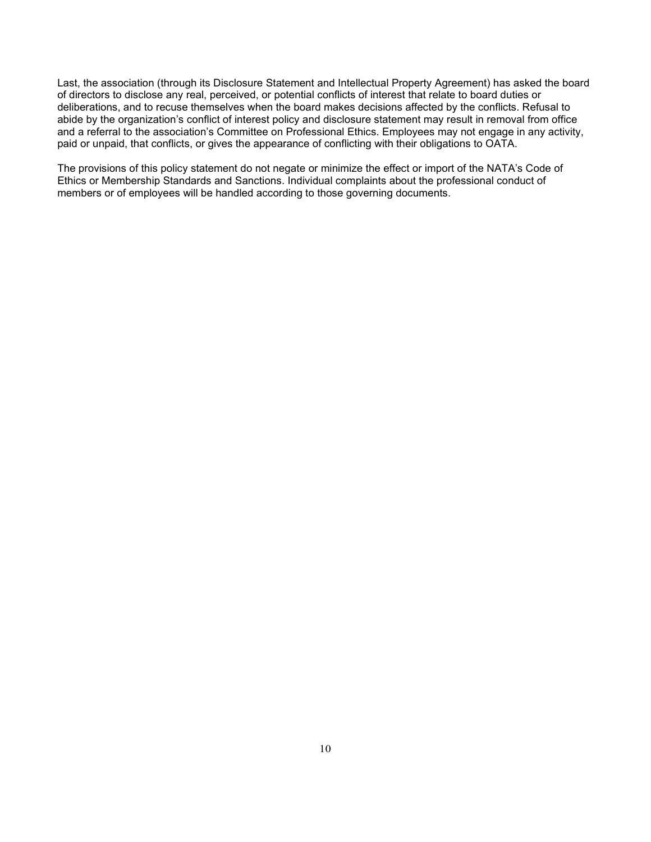Last, the association (through its Disclosure Statement and Intellectual Property Agreement) has asked the board of directors to disclose any real, perceived, or potential conflicts of interest that relate to board duties or deliberations, and to recuse themselves when the board makes decisions affected by the conflicts. Refusal to abide by the organization's conflict of interest policy and disclosure statement may result in removal from office and a referral to the association's Committee on Professional Ethics. Employees may not engage in any activity, paid or unpaid, that conflicts, or gives the appearance of conflicting with their obligations to OATA.

The provisions of this policy statement do not negate or minimize the effect or import of the NATA's Code of Ethics or Membership Standards and Sanctions. Individual complaints about the professional conduct of members or of employees will be handled according to those governing documents.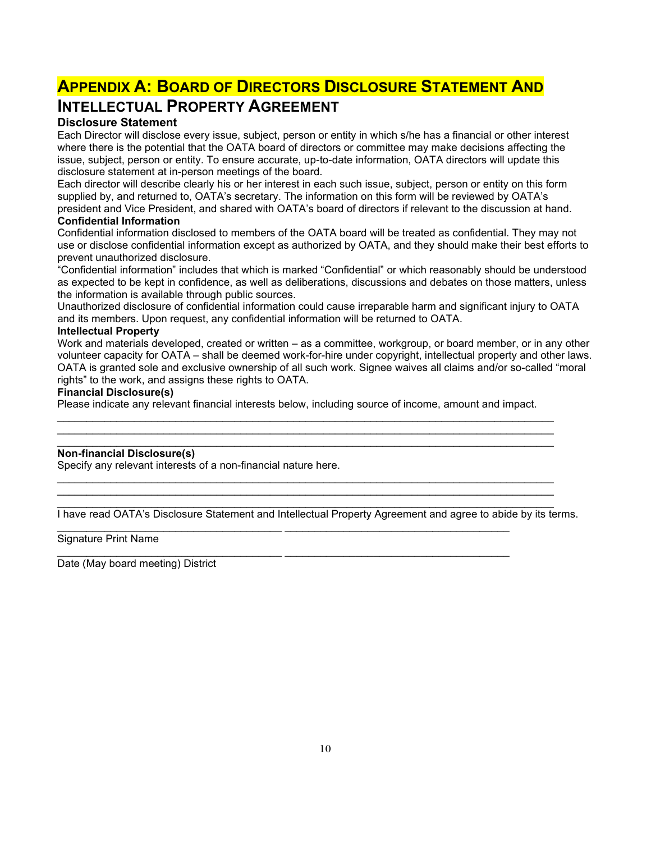# **APPENDIX A: BOARD OF DIRECTORS DISCLOSURE STATEMENT AND INTELLECTUAL PROPERTY AGREEMENT**

## **Disclosure Statement**

Each Director will disclose every issue, subject, person or entity in which s/he has a financial or other interest where there is the potential that the OATA board of directors or committee may make decisions affecting the issue, subject, person or entity. To ensure accurate, up-to-date information, OATA directors will update this disclosure statement at in-person meetings of the board.

Each director will describe clearly his or her interest in each such issue, subject, person or entity on this form supplied by, and returned to, OATA's secretary. The information on this form will be reviewed by OATA's president and Vice President, and shared with OATA's board of directors if relevant to the discussion at hand.

### **Confidential Information**

Confidential information disclosed to members of the OATA board will be treated as confidential. They may not use or disclose confidential information except as authorized by OATA, and they should make their best efforts to prevent unauthorized disclosure.

"Confidential information" includes that which is marked "Confidential" or which reasonably should be understood as expected to be kept in confidence, as well as deliberations, discussions and debates on those matters, unless the information is available through public sources.

Unauthorized disclosure of confidential information could cause irreparable harm and significant injury to OATA and its members. Upon request, any confidential information will be returned to OATA.

#### **Intellectual Property**

Work and materials developed, created or written – as a committee, workgroup, or board member, or in any other volunteer capacity for OATA – shall be deemed work-for-hire under copyright, intellectual property and other laws. OATA is granted sole and exclusive ownership of all such work. Signee waives all claims and/or so-called "moral rights" to the work, and assigns these rights to OATA.

## **Financial Disclosure(s)**

Please indicate any relevant financial interests below, including source of income, amount and impact.

\_\_\_\_\_\_\_\_\_\_\_\_\_\_\_\_\_\_\_\_\_\_\_\_\_\_\_\_\_\_\_\_\_\_\_\_\_\_\_\_\_\_\_\_\_\_\_\_\_\_\_\_\_\_\_\_\_\_\_\_\_\_\_\_\_\_\_\_\_\_\_\_\_\_\_\_\_\_\_\_\_\_\_\_ \_\_\_\_\_\_\_\_\_\_\_\_\_\_\_\_\_\_\_\_\_\_\_\_\_\_\_\_\_\_\_\_\_\_\_\_\_\_\_\_\_\_\_\_\_\_\_\_\_\_\_\_\_\_\_\_\_\_\_\_\_\_\_\_\_\_\_\_\_\_\_\_\_\_\_\_\_\_\_\_\_\_\_\_

\_\_\_\_\_\_\_\_\_\_\_\_\_\_\_\_\_\_\_\_\_\_\_\_\_\_\_\_\_\_\_\_\_\_\_\_\_\_\_\_\_\_\_\_\_\_\_\_\_\_\_\_\_\_\_\_\_\_\_\_\_\_\_\_\_\_\_\_\_\_\_\_\_\_\_\_\_\_\_\_\_\_\_\_ \_\_\_\_\_\_\_\_\_\_\_\_\_\_\_\_\_\_\_\_\_\_\_\_\_\_\_\_\_\_\_\_\_\_\_\_\_\_\_\_\_\_\_\_\_\_\_\_\_\_\_\_\_\_\_\_\_\_\_\_\_\_\_\_\_\_\_\_\_\_\_\_\_\_\_\_\_\_\_\_\_\_\_\_

\_\_\_\_\_\_\_\_\_\_\_\_\_\_\_\_\_\_\_\_\_\_\_\_\_\_\_\_\_\_\_\_\_\_\_\_\_\_ \_\_\_\_\_\_\_\_\_\_\_\_\_\_\_\_\_\_\_\_\_\_\_\_\_\_\_\_\_\_\_\_\_\_\_\_\_\_

#### \_\_\_\_\_\_\_\_\_\_\_\_\_\_\_\_\_\_\_\_\_\_\_\_\_\_\_\_\_\_\_\_\_\_\_\_\_\_\_\_\_\_\_\_\_\_\_\_\_\_\_\_\_\_\_\_\_\_\_\_\_\_\_\_\_\_\_\_\_\_\_\_\_\_\_\_\_\_\_\_\_\_\_\_ **Non-financial Disclosure(s)**

Specify any relevant interests of a non-financial nature here.

\_\_\_\_\_\_\_\_\_\_\_\_\_\_\_\_\_\_\_\_\_\_\_\_\_\_\_\_\_\_\_\_\_\_\_\_\_\_\_\_\_\_\_\_\_\_\_\_\_\_\_\_\_\_\_\_\_\_\_\_\_\_\_\_\_\_\_\_\_\_\_\_\_\_\_\_\_\_\_\_\_\_\_\_ I have read OATA's Disclosure Statement and Intellectual Property Agreement and agree to abide by its terms.

Signature Print Name

\_\_\_\_\_\_\_\_\_\_\_\_\_\_\_\_\_\_\_\_\_\_\_\_\_\_\_\_\_\_\_\_\_\_\_\_\_\_ \_\_\_\_\_\_\_\_\_\_\_\_\_\_\_\_\_\_\_\_\_\_\_\_\_\_\_\_\_\_\_\_\_\_\_\_\_\_ Date (May board meeting) District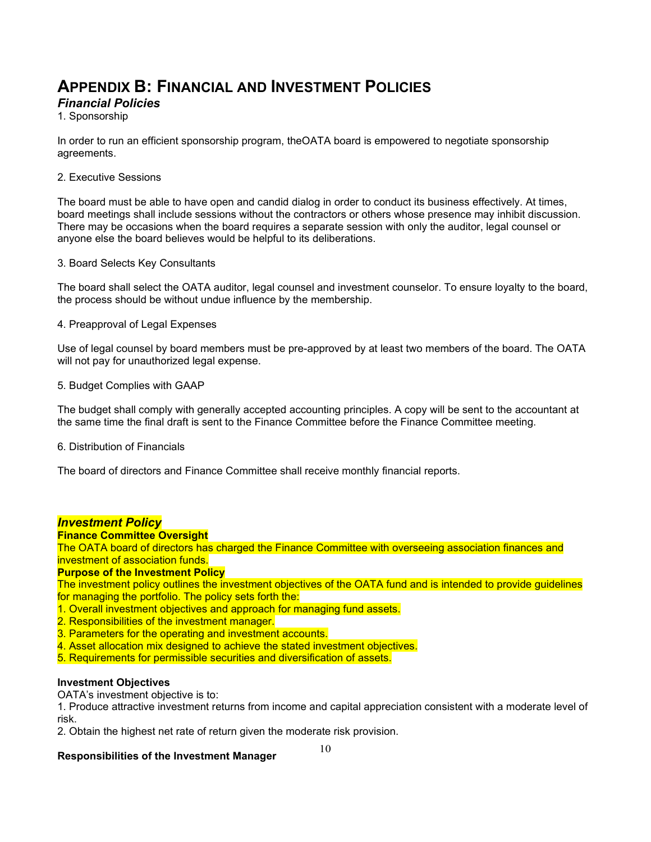# **APPENDIX B: FINANCIAL AND INVESTMENT POLICIES**

## *Financial Policies*

1. Sponsorship

In order to run an efficient sponsorship program, theOATA board is empowered to negotiate sponsorship agreements.

### 2. Executive Sessions

The board must be able to have open and candid dialog in order to conduct its business effectively. At times, board meetings shall include sessions without the contractors or others whose presence may inhibit discussion. There may be occasions when the board requires a separate session with only the auditor, legal counsel or anyone else the board believes would be helpful to its deliberations.

### 3. Board Selects Key Consultants

The board shall select the OATA auditor, legal counsel and investment counselor. To ensure loyalty to the board, the process should be without undue influence by the membership.

### 4. Preapproval of Legal Expenses

Use of legal counsel by board members must be pre-approved by at least two members of the board. The OATA will not pay for unauthorized legal expense.

### 5. Budget Complies with GAAP

The budget shall comply with generally accepted accounting principles. A copy will be sent to the accountant at the same time the final draft is sent to the Finance Committee before the Finance Committee meeting.

6. Distribution of Financials

The board of directors and Finance Committee shall receive monthly financial reports.

## *Investment Policy*

### **Finance Committee Oversight**

The OATA board of directors has charged the Finance Committee with overseeing association finances and investment of association funds.

### **Purpose of the Investment Policy**

The investment policy outlines the investment objectives of the OATA fund and is intended to provide guidelines for managing the portfolio. The policy sets forth the:

- 1. Overall investment objectives and approach for managing fund assets.
- 2. Responsibilities of the investment manager.
- 3. Parameters for the operating and investment accounts.
- 4. Asset allocation mix designed to achieve the stated investment objectives.
- 5. Requirements for permissible securities and diversification of assets.

## **Investment Objectives**

OATA's investment objective is to:

1. Produce attractive investment returns from income and capital appreciation consistent with a moderate level of risk.

2. Obtain the highest net rate of return given the moderate risk provision.

## **Responsibilities of the Investment Manager**